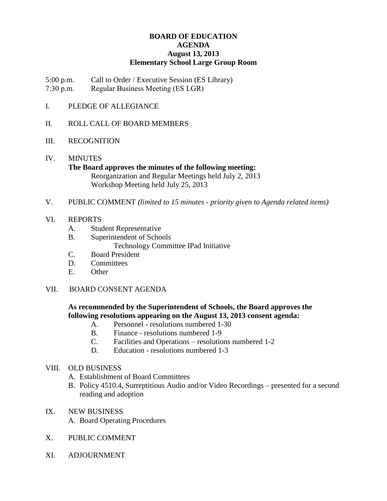# **BOARD OF EDUCATION AGENDA August 13, 2013 Elementary School Large Group Room**

5:00 p.m. Call to Order / Executive Session (ES Library)

7:30 p.m. Regular Business Meeting (ES LGR)

- I. PLEDGE OF ALLEGIANCE
- II. ROLL CALL OF BOARD MEMBERS
- III. RECOGNITION
- IV. MINUTES **The Board approves the minutes of the following meeting:** Reorganization and Regular Meetings held July 2, 2013 Workshop Meeting held July 25, 2013
- V. PUBLIC COMMENT *(limited to 15 minutes - priority given to Agenda related items)*
- VI. REPORTS
	- A. Student Representative
	- B. Superintendent of Schools

Technology Committee IPad Initiative

- C. Board President
- D. Committees
- E. Other
- VII. BOARD CONSENT AGENDA

# **As recommended by the Superintendent of Schools, the Board approves the following resolutions appearing on the August 13, 2013 consent agenda:**

- A. Personnel resolutions numbered 1-30
- B. Finance resolutions numbered 1-9
- C. Facilities and Operations resolutions numbered 1-2
- D. Education resolutions numbered 1-3

# VIII. OLD BUSINESS

- A. Establishment of Board Committees
- B. Policy 4510.4, Surreptitious Audio and/or Video Recordings presented for a second reading and adoption
- IX. NEW BUSINESS
	- A. Board Operating Procedures
- X. PUBLIC COMMENT
- XI. ADJOURNMENT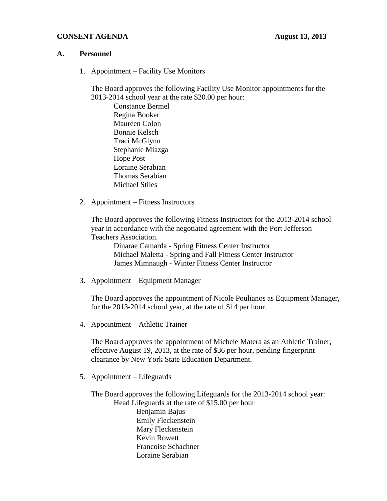# **CONSENT AGENDA August 13, 2013**

## **A. Personnel**

1. Appointment – Facility Use Monitors

The Board approves the following Facility Use Monitor appointments for the 2013-2014 school year at the rate \$20.00 per hour:

Constance Bermel Regina Booker Maureen Colon Bonnie Kelsch Traci McGlynn Stephanie Miazga Hope Post Loraine Serabian Thomas Serabian Michael Stiles

2. Appointment – Fitness Instructors

The Board approves the following Fitness Instructors for the 2013-2014 school year in accordance with the negotiated agreement with the Port Jefferson Teachers Association.

Dinarae Camarda - Spring Fitness Center Instructor Michael Maletta - Spring and Fall Fitness Center Instructor James Mimnaugh - Winter Fitness Center Instructor

3. Appointment – Equipment Manager

The Board approves the appointment of Nicole Poulianos as Equipment Manager, for the 2013-2014 school year, at the rate of \$14 per hour.

4. Appointment – Athletic Trainer

The Board approves the appointment of Michele Matera as an Athletic Trainer, effective August 19, 2013, at the rate of \$36 per hour, pending fingerprint clearance by New York State Education Department.

5. Appointment – Lifeguards

The Board approves the following Lifeguards for the 2013-2014 school year: Head Lifeguards at the rate of \$15.00 per hour Benjamin Bajus Emily Fleckenstein Mary Fleckenstein Kevin Rowett Francoise Schachner Loraine Serabian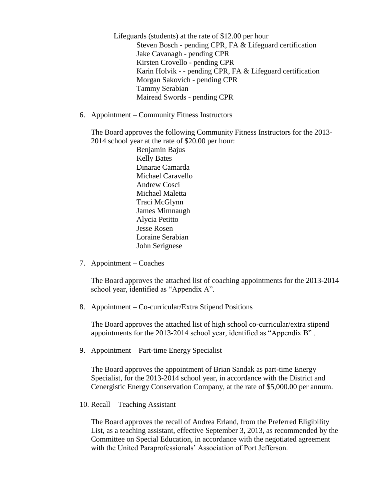Lifeguards (students) at the rate of \$12.00 per hour Steven Bosch - pending CPR, FA & Lifeguard certification Jake Cavanagh - pending CPR Kirsten Crovello - pending CPR Karin Holvik - - pending CPR, FA & Lifeguard certification Morgan Sakovich - pending CPR Tammy Serabian Mairead Swords - pending CPR

6. Appointment – Community Fitness Instructors

The Board approves the following Community Fitness Instructors for the 2013- 2014 school year at the rate of \$20.00 per hour:

> Benjamin Bajus Kelly Bates Dinarae Camarda Michael Caravello Andrew Cosci Michael Maletta Traci McGlynn James Mimnaugh Alycia Petitto Jesse Rosen Loraine Serabian John Serignese

7. Appointment – Coaches

The Board approves the attached list of coaching appointments for the 2013-2014 school year, identified as "Appendix A".

8. Appointment – Co-curricular/Extra Stipend Positions

The Board approves the attached list of high school co-curricular/extra stipend appointments for the 2013-2014 school year, identified as "Appendix B" .

9. Appointment – Part-time Energy Specialist

The Board approves the appointment of Brian Sandak as part-time Energy Specialist, for the 2013-2014 school year, in accordance with the District and Cenergistic Energy Conservation Company, at the rate of \$5,000.00 per annum.

10. Recall – Teaching Assistant

The Board approves the recall of Andrea Erland, from the Preferred Eligibility List, as a teaching assistant, effective September 3, 2013, as recommended by the Committee on Special Education, in accordance with the negotiated agreement with the United Paraprofessionals' Association of Port Jefferson.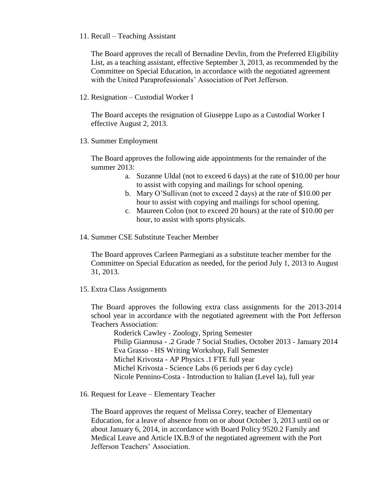## 11. Recall – Teaching Assistant

The Board approves the recall of Bernadine Devlin, from the Preferred Eligibility List, as a teaching assistant, effective September 3, 2013, as recommended by the Committee on Special Education, in accordance with the negotiated agreement with the United Paraprofessionals' Association of Port Jefferson.

12. Resignation – Custodial Worker I

The Board accepts the resignation of Giuseppe Lupo as a Custodial Worker I effective August 2, 2013.

13. Summer Employment

The Board approves the following aide appointments for the remainder of the summer 2013:

- a. Suzanne Uldal (not to exceed 6 days) at the rate of \$10.00 per hour to assist with copying and mailings for school opening.
- b. Mary O'Sullivan (not to exceed 2 days) at the rate of \$10.00 per hour to assist with copying and mailings for school opening.
- c. Maureen Colon (not to exceed 20 hours) at the rate of \$10.00 per hour, to assist with sports physicals.
- 14. Summer CSE Substitute Teacher Member

The Board approves Carleen Parmegiani as a substitute teacher member for the Committee on Special Education as needed, for the period July 1, 2013 to August 31, 2013.

15. Extra Class Assignments

The Board approves the following extra class assignments for the 2013-2014 school year in accordance with the negotiated agreement with the Port Jefferson Teachers Association:

Roderick Cawley - Zoology, Spring Semester Philip Giannusa - .2 Grade 7 Social Studies, October 2013 - January 2014 Eva Grasso - HS Writing Workshop, Fall Semester Michel Krivosta - AP Physics .1 FTE full year Michel Krivosta - Science Labs (6 periods per 6 day cycle) Nicole Pennino-Costa - Introduction to Italian (Level Ia), full year

16. Request for Leave – Elementary Teacher

The Board approves the request of Melissa Corey, teacher of Elementary Education, for a leave of absence from on or about October 3, 2013 until on or about January 6, 2014, in accordance with Board Policy 9520.2 Family and Medical Leave and Article IX.B.9 of the negotiated agreement with the Port Jefferson Teachers' Association.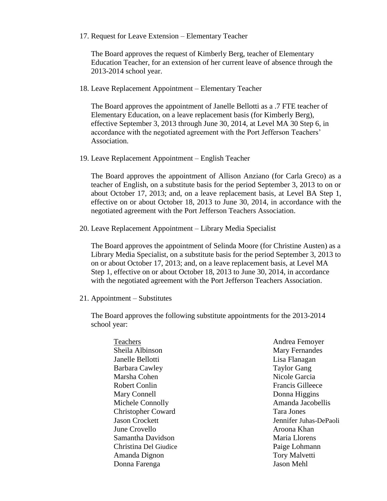17. Request for Leave Extension – Elementary Teacher

The Board approves the request of Kimberly Berg, teacher of Elementary Education Teacher, for an extension of her current leave of absence through the 2013-2014 school year.

18. Leave Replacement Appointment – Elementary Teacher

The Board approves the appointment of Janelle Bellotti as a .7 FTE teacher of Elementary Education, on a leave replacement basis (for Kimberly Berg), effective September 3, 2013 through June 30, 2014, at Level MA 30 Step 6, in accordance with the negotiated agreement with the Port Jefferson Teachers' Association.

19. Leave Replacement Appointment – English Teacher

The Board approves the appointment of Allison Anziano (for Carla Greco) as a teacher of English, on a substitute basis for the period September 3, 2013 to on or about October 17, 2013; and, on a leave replacement basis, at Level BA Step 1, effective on or about October 18, 2013 to June 30, 2014, in accordance with the negotiated agreement with the Port Jefferson Teachers Association.

20. Leave Replacement Appointment – Library Media Specialist

The Board approves the appointment of Selinda Moore (for Christine Austen) as a Library Media Specialist, on a substitute basis for the period September 3, 2013 to on or about October 17, 2013; and, on a leave replacement basis, at Level MA Step 1, effective on or about October 18, 2013 to June 30, 2014, in accordance with the negotiated agreement with the Port Jefferson Teachers Association.

21. Appointment – Substitutes

The Board approves the following substitute appointments for the 2013-2014 school year:

| Teachers                  |
|---------------------------|
| Sheila Albinson           |
| Janelle Bellotti          |
| Barbara Cawley            |
| Marsha Cohen              |
| Robert Conlin             |
| Mary Connell              |
| Michele Connolly          |
| <b>Christopher Coward</b> |
| <b>Jason Crockett</b>     |
| June Crovello             |
| Samantha Davidson         |
| Christina Del Giudice     |
| Amanda Dignon             |
| Donna Farenga             |

Andrea Femoyer Mary Fernandes Lisa Flanagan Taylor Gang Nicole Garcia Francis Gilleece Donna Higgins Amanda Jacobellis Tara Jones Jennifer Juhas-DePaoli Aroona Khan Maria Llorens Paige Lohmann Tory Malvetti Jason Mehl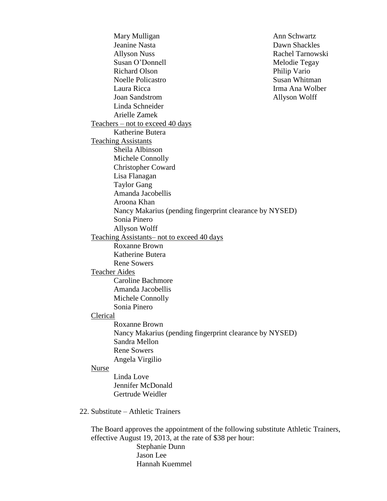Mary Mulligan Jeanine Nasta Allyson Nuss Susan O'Donnell Richard Olson Noelle Policastro Laura Ricca Joan Sandstrom Linda Schneider Ann Schwartz Dawn Shackles Rachel Tarnowski Melodie Tegay Philip Vario Susan Whitman Irma Ana Wolber Allyson Wolff Arielle Zamek Teachers – not to exceed 40 days Katherine Butera Teaching Assistants Sheila Albinson Michele Connolly Christopher Coward Lisa Flanagan Taylor Gang Amanda Jacobellis Aroona Khan Nancy Makarius (pending fingerprint clearance by NYSED) Sonia Pinero Allyson Wolff Teaching Assistants– not to exceed 40 days Roxanne Brown Katherine Butera Rene Sowers Teacher Aides Caroline Bachmore Amanda Jacobellis Michele Connolly Sonia Pinero Clerical Roxanne Brown Nancy Makarius (pending fingerprint clearance by NYSED) Sandra Mellon Rene Sowers Angela Virgilio Nurse Linda Love Jennifer McDonald Gertrude Weidler 22. Substitute – Athletic Trainers The Board approves the appointment of the following substitute Athletic Trainers, effective August 19, 2013, at the rate of \$38 per hour: Stephanie Dunn

Jason Lee Hannah Kuemmel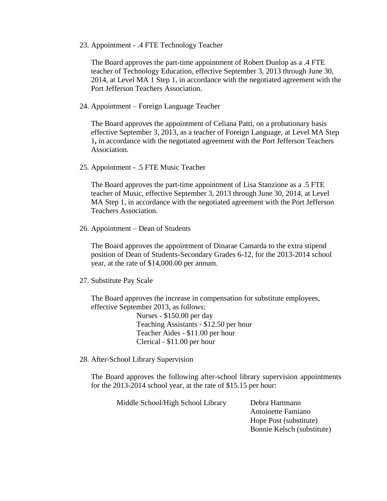23. Appointment - .4 FTE Technology Teacher

The Board approves the part-time appointment of Robert Dunlop as a .4 FTE teacher of Technology Education, effective September 3, 2013 through June 30, 2014, at Level MA 1 Step 1, in accordance with the negotiated agreement with the Port Jefferson Teachers Association.

24. Appointment – Foreign Language Teacher

The Board approves the appointment of Celiana Patti, on a probationary basis effective September 3, 2013, as a teacher of Foreign Language, at Level MA Step 1**,** in accordance with the negotiated agreement with the Port Jefferson Teachers Association.

25. Appointment - .5 FTE Music Teacher

The Board approves the part-time appointment of Lisa Stanzione as a .5 FTE teacher of Music, effective September 3, 2013 through June 30, 2014, at Level MA Step 1, in accordance with the negotiated agreement with the Port Jefferson Teachers Association.

26. Appointment – Dean of Students

The Board approves the appointment of Dinarae Camarda to the extra stipend position of Dean of Students-Secondary Grades 6-12, for the 2013-2014 school year, at the rate of \$14,000.00 per annum.

27. Substitute Pay Scale

The Board approves the increase in compensation for substitute employees, effective September 2013, as follows:

> Nurses - \$150.00 per day Teaching Assistants - \$12.50 per hour Teacher Aides - \$11.00 per hour Clerical - \$11.00 per hour

28. After-School Library Supervision

The Board approves the following after-school library supervision appointments for the 2013-2014 school year, at the rate of \$15.15 per hour:

| Middle School/High School Library | Debra Hartmann             |
|-----------------------------------|----------------------------|
|                                   | Antoinette Famiano         |
|                                   | Hope Post (substitute)     |
|                                   | Bonnie Kelsch (substitute) |
|                                   |                            |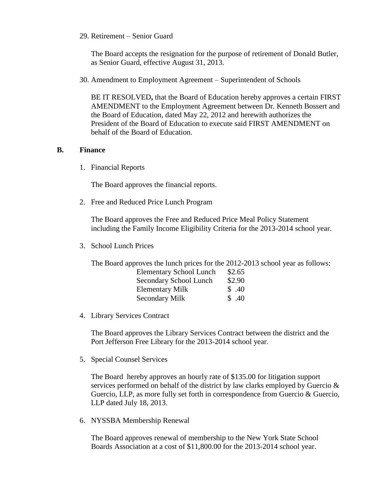29. Retirement – Senior Guard

The Board accepts the resignation for the purpose of retirement of Donald Butler, as Senior Guard, effective August 31, 2013.

30. Amendment to Employment Agreement – Superintendent of Schools

BE IT RESOLVED**,** that the Board of Education hereby approves a certain FIRST AMENDMENT to the Employment Agreement between Dr. Kenneth Bossert and the Board of Education, dated May 22, 2012 and herewith authorizes the President of the Board of Education to execute said FIRST AMENDMENT on behalf of the Board of Education.

## **B. Finance**

1. Financial Reports

The Board approves the financial reports.

2. Free and Reduced Price Lunch Program

The Board approves the Free and Reduced Price Meal Policy Statement including the Family Income Eligibility Criteria for the 2013-2014 school year.

3. School Lunch Prices

The Board approves the lunch prices for the 2012-2013 school year as follows:

| <b>Elementary School Lunch</b> | \$2.65 |
|--------------------------------|--------|
| Secondary School Lunch         | \$2.90 |
| <b>Elementary Milk</b>         | \$.40  |
| <b>Secondary Milk</b>          | \$.40  |

4. Library Services Contract

The Board approves the Library Services Contract between the district and the Port Jefferson Free Library for the 2013-2014 school year.

5. Special Counsel Services

The Board hereby approves an hourly rate of \$135.00 for litigation support services performed on behalf of the district by law clarks employed by Guercio & Guercio, LLP, as more fully set forth in correspondence from Guercio & Guercio, LLP dated July 18, 2013.

6. NYSSBA Membership Renewal

The Board approves renewal of membership to the New York State School Boards Association at a cost of \$11,800.00 for the 2013-2014 school year.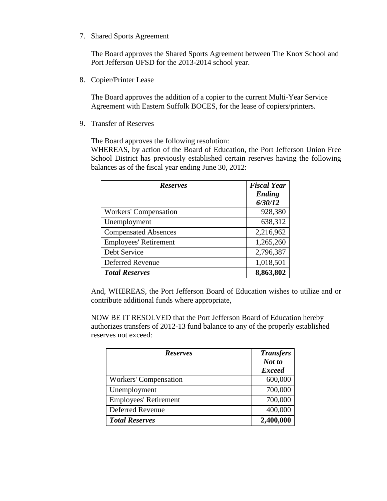7. Shared Sports Agreement

The Board approves the Shared Sports Agreement between The Knox School and Port Jefferson UFSD for the 2013-2014 school year.

8. Copier/Printer Lease

The Board approves the addition of a copier to the current Multi-Year Service Agreement with Eastern Suffolk BOCES, for the lease of copiers/printers.

9. Transfer of Reserves

The Board approves the following resolution:

WHEREAS, by action of the Board of Education, the Port Jefferson Union Free School District has previously established certain reserves having the following balances as of the fiscal year ending June 30, 2012:

| <b>Reserves</b>              | <b>Fiscal Year</b><br><b>Ending</b><br>6/30/12 |
|------------------------------|------------------------------------------------|
| <b>Workers' Compensation</b> | 928,380                                        |
| Unemployment                 | 638,312                                        |
| <b>Compensated Absences</b>  | 2,216,962                                      |
| <b>Employees' Retirement</b> | 1,265,260                                      |
| Debt Service                 | 2,796,387                                      |
| <b>Deferred Revenue</b>      | 1,018,501                                      |
| <b>Total Reserves</b>        | 8,863,802                                      |

And, WHEREAS, the Port Jefferson Board of Education wishes to utilize and or contribute additional funds where appropriate,

NOW BE IT RESOLVED that the Port Jefferson Board of Education hereby authorizes transfers of 2012-13 fund balance to any of the properly established reserves not exceed:

| <b>Reserves</b>              | <b>Transfers</b><br>Not to<br><b>Exceed</b> |
|------------------------------|---------------------------------------------|
| <b>Workers' Compensation</b> | 600,000                                     |
| Unemployment                 | 700,000                                     |
| <b>Employees' Retirement</b> | 700,000                                     |
| Deferred Revenue             | 400,000                                     |
| <b>Total Reserves</b>        | 2,400,000                                   |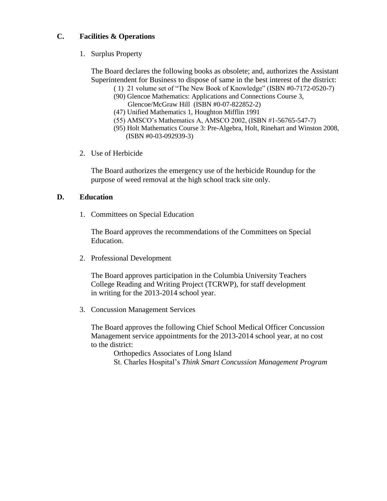# **C. Facilities & Operations**

1. Surplus Property

The Board declares the following books as obsolete; and, authorizes the Assistant Superintendent for Business to dispose of same in the best interest of the district:

- ( 1) 21 volume set of "The New Book of Knowledge" (ISBN #0-7172-0520-7)
- (90) Glencoe Mathematics: Applications and Connections Course 3, Glencoe/McGraw Hill (ISBN #0-07-822852-2)
- (47) Unified Mathematics 1, Houghton Mifflin 1991
- (55) AMSCO's Mathematics A, AMSCO 2002, (ISBN #1-56765-547-7)
- (95) Holt Mathematics Course 3: Pre-Algebra, Holt, Rinehart and Winston 2008, (ISBN #0-03-092939-3)
- 2. Use of Herbicide

The Board authorizes the emergency use of the herbicide Roundup for the purpose of weed removal at the high school track site only.

# **D. Education**

1. Committees on Special Education

The Board approves the recommendations of the Committees on Special Education.

2. Professional Development

The Board approves participation in the Columbia University Teachers College Reading and Writing Project (TCRWP), for staff development in writing for the 2013-2014 school year.

3. Concussion Management Services

The Board approves the following Chief School Medical Officer Concussion Management service appointments for the 2013-2014 school year, at no cost to the district:

Orthopedics Associates of Long Island St. Charles Hospital's *Think Smart Concussion Management Program*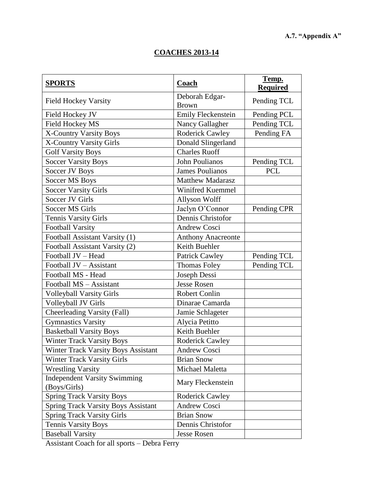# **COACHES 2013-14**

| <b>SPORTS</b>                              | Coach                          | Temp.<br><b>Required</b> |
|--------------------------------------------|--------------------------------|--------------------------|
| <b>Field Hockey Varsity</b>                | Deborah Edgar-<br><b>Brown</b> | Pending TCL              |
| Field Hockey JV                            | <b>Emily Fleckenstein</b>      | Pending PCL              |
| <b>Field Hockey MS</b>                     | Nancy Gallagher                | Pending TCL              |
| <b>X-Country Varsity Boys</b>              | <b>Roderick Cawley</b>         | Pending FA               |
| X-Country Varsity Girls                    | Donald Slingerland             |                          |
| <b>Golf Varsity Boys</b>                   | <b>Charles Ruoff</b>           |                          |
| <b>Soccer Varsity Boys</b>                 | <b>John Poulianos</b>          | Pending TCL              |
| Soccer JV Boys                             | <b>James Poulianos</b>         | <b>PCL</b>               |
| Soccer MS Boys                             | <b>Matthew Madarasz</b>        |                          |
| <b>Soccer Varsity Girls</b>                | Winifred Kuemmel               |                          |
| Soccer JV Girls                            | Allyson Wolff                  |                          |
| <b>Soccer MS Girls</b>                     | Jaclyn O'Connor                | Pending CPR              |
| <b>Tennis Varsity Girls</b>                | Dennis Christofor              |                          |
| <b>Football Varsity</b>                    | <b>Andrew Cosci</b>            |                          |
| Football Assistant Varsity (1)             | <b>Anthony Anacreonte</b>      |                          |
| Football Assistant Varsity (2)             | Keith Buehler                  |                          |
| Football JV - Head                         | <b>Patrick Cawley</b>          | Pending TCL              |
| Football JV - Assistant                    | Thomas Foley                   | Pending TCL              |
| Football MS - Head                         | Joseph Dessi                   |                          |
| Football MS - Assistant                    | <b>Jesse Rosen</b>             |                          |
| <b>Volleyball Varsity Girls</b>            | <b>Robert Conlin</b>           |                          |
| Volleyball JV Girls                        | Dinarae Camarda                |                          |
| Cheerleading Varsity (Fall)                | Jamie Schlageter               |                          |
| <b>Gymnastics Varsity</b>                  | Alycia Petitto                 |                          |
| <b>Basketball Varsity Boys</b>             | Keith Buehler                  |                          |
| <b>Winter Track Varsity Boys</b>           | <b>Roderick Cawley</b>         |                          |
| Winter Track Varsity Boys Assistant        | <b>Andrew Cosci</b>            |                          |
| Winter Track Varsity Girls                 | <b>Brian Snow</b>              |                          |
| <b>Wrestling Varsity</b>                   | Michael Maletta                |                          |
| <b>Independent Varsity Swimming</b>        | Mary Fleckenstein              |                          |
| (Boys/Girls)                               |                                |                          |
| <b>Spring Track Varsity Boys</b>           | <b>Roderick Cawley</b>         |                          |
| <b>Spring Track Varsity Boys Assistant</b> | Andrew Cosci                   |                          |
| <b>Spring Track Varsity Girls</b>          | <b>Brian Snow</b>              |                          |
| <b>Tennis Varsity Boys</b>                 | Dennis Christofor              |                          |
| <b>Baseball Varsity</b>                    | <b>Jesse Rosen</b>             |                          |

Assistant Coach for all sports – Debra Ferry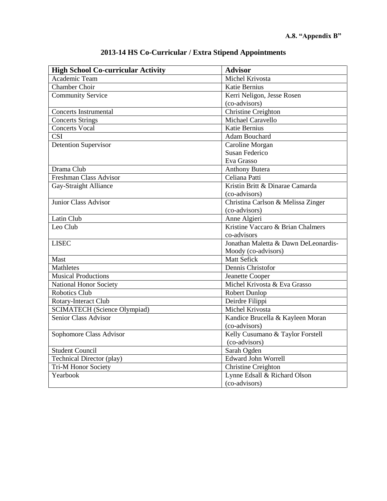| <b>High School Co-curricular Activity</b> | <b>Advisor</b>                       |
|-------------------------------------------|--------------------------------------|
| <b>Academic Team</b>                      | Michel Krivosta                      |
| <b>Chamber Choir</b>                      | Katie Bernius                        |
| <b>Community Service</b>                  | Kerri Neligon, Jesse Rosen           |
|                                           | (co-advisors)                        |
| <b>Concerts Instrumental</b>              | Christine Creighton                  |
| <b>Concerts Strings</b>                   | Michael Caravello                    |
| <b>Concerts Vocal</b>                     | <b>Katie Bernius</b>                 |
| CSI                                       | Adam Bouchard                        |
| <b>Detention Supervisor</b>               | Caroline Morgan                      |
|                                           | <b>Susan Federico</b>                |
|                                           | Eva Grasso                           |
| Drama Club                                | <b>Anthony Butera</b>                |
| Freshman Class Advisor                    | Celiana Patti                        |
| Gay-Straight Alliance                     | Kristin Britt & Dinarae Camarda      |
|                                           | (co-advisors)                        |
| <b>Junior Class Advisor</b>               | Christina Carlson & Melissa Zinger   |
|                                           | (co-advisors)                        |
| Latin Club                                | Anne Algieri                         |
| Leo Club                                  | Kristine Vaccaro & Brian Chalmers    |
|                                           | co-advisors                          |
| <b>LISEC</b>                              | Jonathan Maletta & Dawn DeLeonardis- |
|                                           | Moody (co-advisors)                  |
| Mast                                      | Matt Sefick                          |
| <b>Mathletes</b>                          | Dennis Christofor                    |
| <b>Musical Productions</b>                | Jeanette Cooper                      |
| National Honor Society                    | Michel Krivosta & Eva Grasso         |
| <b>Robotics Club</b>                      | Robert Dunlop                        |
| Rotary-Interact Club                      | Deirdre Filippi                      |
| <b>SCIMATECH</b> (Science Olympiad)       | Michel Krivosta                      |
| <b>Senior Class Advisor</b>               | Kandice Brucella & Kayleen Moran     |
|                                           | (co-advisors)                        |
| Sophomore Class Advisor                   | Kelly Cusumano & Taylor Forstell     |
|                                           | (co-advisors)                        |
| <b>Student Council</b>                    | Sarah Ogden                          |
| <b>Technical Director (play)</b>          | <b>Edward John Worrell</b>           |
| Tri-M Honor Society                       | Christine Creighton                  |
| Yearbook                                  | Lynne Edsall & Richard Olson         |
|                                           | (co-advisors)                        |

# **2013-14 HS Co-Curricular / Extra Stipend Appointments**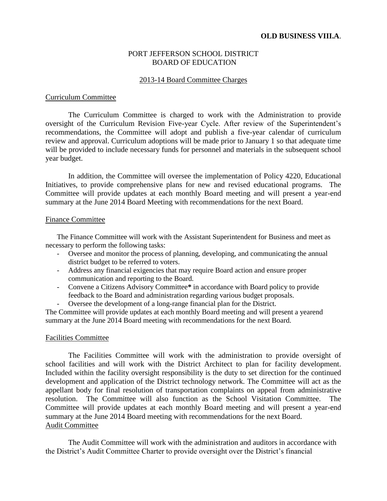## PORT JEFFERSON SCHOOL DISTRICT BOARD OF EDUCATION

#### 2013-14 Board Committee Charges

#### Curriculum Committee

The Curriculum Committee is charged to work with the Administration to provide oversight of the Curriculum Revision Five-year Cycle. After review of the Superintendent's recommendations, the Committee will adopt and publish a five-year calendar of curriculum review and approval. Curriculum adoptions will be made prior to January 1 so that adequate time will be provided to include necessary funds for personnel and materials in the subsequent school year budget.

In addition, the Committee will oversee the implementation of Policy 4220, Educational Initiatives, to provide comprehensive plans for new and revised educational programs. The Committee will provide updates at each monthly Board meeting and will present a year-end summary at the June 2014 Board Meeting with recommendations for the next Board.

### Finance Committee

The Finance Committee will work with the Assistant Superintendent for Business and meet as necessary to perform the following tasks:

- Oversee and monitor the process of planning, developing, and communicating the annual district budget to be referred to voters.
- Address any financial exigencies that may require Board action and ensure proper communication and reporting to the Board.
- Convene a Citizens Advisory Committee**\*** in accordance with Board policy to provide feedback to the Board and administration regarding various budget proposals.
- Oversee the development of a long-range financial plan for the District.

The Committee will provide updates at each monthly Board meeting and will present a yearend summary at the June 2014 Board meeting with recommendations for the next Board.

#### Facilities Committee

The Facilities Committee will work with the administration to provide oversight of school facilities and will work with the District Architect to plan for facility development. Included within the facility oversight responsibility is the duty to set direction for the continued development and application of the District technology network. The Committee will act as the appellant body for final resolution of transportation complaints on appeal from administrative resolution. The Committee will also function as the School Visitation Committee. The Committee will provide updates at each monthly Board meeting and will present a year-end summary at the June 2014 Board meeting with recommendations for the next Board. Audit Committee

The Audit Committee will work with the administration and auditors in accordance with the District's Audit Committee Charter to provide oversight over the District's financial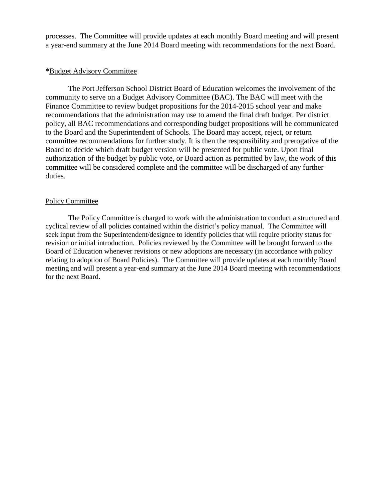processes. The Committee will provide updates at each monthly Board meeting and will present a year-end summary at the June 2014 Board meeting with recommendations for the next Board.

## **\***Budget Advisory Committee

The Port Jefferson School District Board of Education welcomes the involvement of the community to serve on a Budget Advisory Committee (BAC). The BAC will meet with the Finance Committee to review budget propositions for the 2014-2015 school year and make recommendations that the administration may use to amend the final draft budget. Per district policy, all BAC recommendations and corresponding budget propositions will be communicated to the Board and the Superintendent of Schools. The Board may accept, reject, or return committee recommendations for further study. It is then the responsibility and prerogative of the Board to decide which draft budget version will be presented for public vote. Upon final authorization of the budget by public vote, or Board action as permitted by law, the work of this committee will be considered complete and the committee will be discharged of any further duties.

#### Policy Committee

The Policy Committee is charged to work with the administration to conduct a structured and cyclical review of all policies contained within the district's policy manual. The Committee will seek input from the Superintendent/designee to identify policies that will require priority status for revision or initial introduction. Policies reviewed by the Committee will be brought forward to the Board of Education whenever revisions or new adoptions are necessary (in accordance with policy relating to adoption of Board Policies). The Committee will provide updates at each monthly Board meeting and will present a year-end summary at the June 2014 Board meeting with recommendations for the next Board.